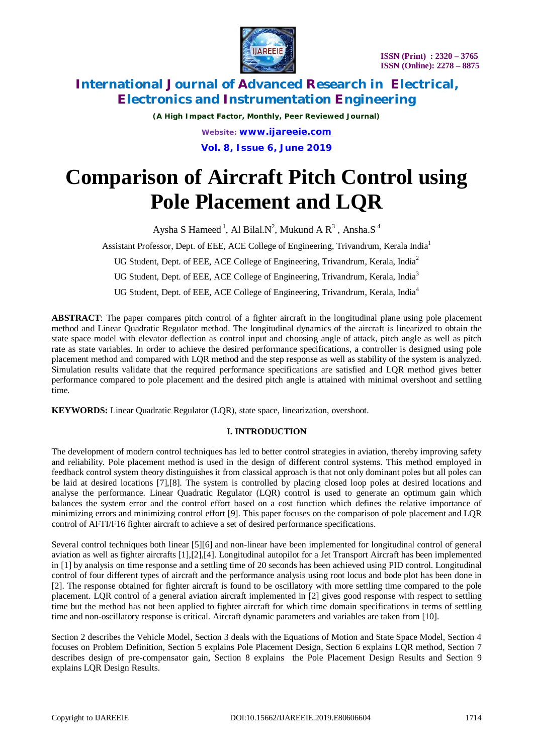

*(A High Impact Factor, Monthly, Peer Reviewed Journal) Website: [www.ijareeie.com](http://www.ijareeie.com)* **Vol. 8, Issue 6, June 2019**

# **Comparison of Aircraft Pitch Control using Pole Placement and LQR**

Aysha S Hameed  $^1$ , Al Bilal.N<sup>2</sup>, Mukund A R<sup>3</sup> , Ansha.S<sup>4</sup>

Assistant Professor, Dept. of EEE*,* ACE College of Engineering, Trivandrum, Kerala India<sup>1</sup>

UG Student, Dept. of EEE, ACE College of Engineering, Trivandrum, Kerala, India<sup>2</sup>

UG Student, Dept. of EEE, ACE College of Engineering, Trivandrum, Kerala, India<sup>3</sup>

UG Student, Dept. of EEE, ACE College of Engineering, Trivandrum, Kerala, India<sup>4</sup>

**ABSTRACT**: The paper compares pitch control of a fighter aircraft in the longitudinal plane using pole placement method and Linear Quadratic Regulator method. The longitudinal dynamics of the aircraft is linearized to obtain the state space model with elevator deflection as control input and choosing angle of attack, pitch angle as well as pitch rate as state variables. In order to achieve the desired performance specifications, a controller is designed using pole placement method and compared with LQR method and the step response as well as stability of the system is analyzed. Simulation results validate that the required performance specifications are satisfied and LQR method gives better performance compared to pole placement and the desired pitch angle is attained with minimal overshoot and settling time.

**KEYWORDS:** Linear Quadratic Regulator (LQR), state space, linearization, overshoot.

### **I. INTRODUCTION**

The development of modern control techniques has led to better control strategies in aviation, thereby improving safety and reliability. Pole placement method is used in the design of different control systems. This method employed in feedback control system theory distinguishes it from classical approach is that not only dominant poles but all poles can be laid at desired locations [7],[8]. The system is controlled by placing closed loop poles at desired locations and analyse the performance. Linear Quadratic Regulator (LQR) control is used to generate an optimum gain which balances the system error and the control effort based on a cost function which defines the relative importance of minimizing errors and minimizing control effort [9]. This paper focuses on the comparison of pole placement and LQR control of AFTI/F16 fighter aircraft to achieve a set of desired performance specifications.

Several control techniques both linear [5][6] and non-linear have been implemented for longitudinal control of general aviation as well as fighter aircrafts [1],[2],[4]. Longitudinal autopilot for a Jet Transport Aircraft has been implemented in [1] by analysis on time response and a settling time of 20 seconds has been achieved using PID control. Longitudinal control of four different types of aircraft and the performance analysis using root locus and bode plot has been done in [2]. The response obtained for fighter aircraft is found to be oscillatory with more settling time compared to the pole placement. LQR control of a general aviation aircraft implemented in [2] gives good response with respect to settling time but the method has not been applied to fighter aircraft for which time domain specifications in terms of settling time and non-oscillatory response is critical. Aircraft dynamic parameters and variables are taken from [10].

Section 2 describes the Vehicle Model, Section 3 deals with the Equations of Motion and State Space Model, Section 4 focuses on Problem Definition, Section 5 explains Pole Placement Design, Section 6 explains LQR method, Section 7 describes design of pre-compensator gain, Section 8 explains the Pole Placement Design Results and Section 9 explains LQR Design Results.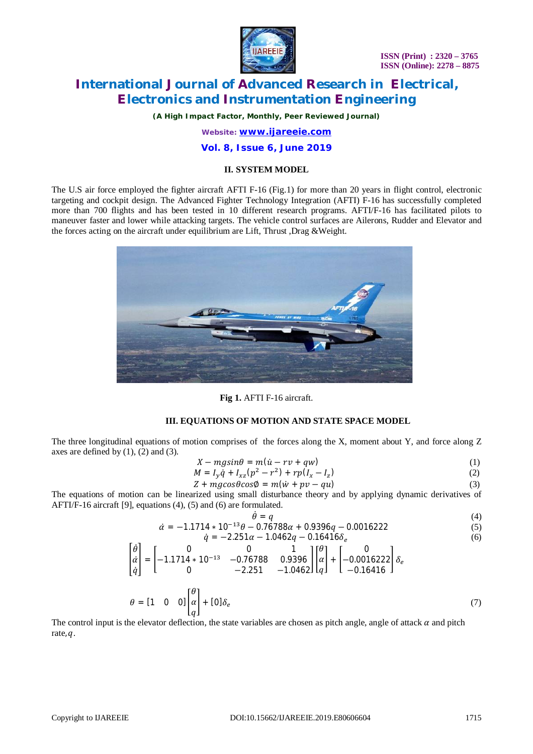

*(A High Impact Factor, Monthly, Peer Reviewed Journal)*

*Website: [www.ijareeie.com](http://www.ijareeie.com)*

### **Vol. 8, Issue 6, June 2019**

### **II. SYSTEM MODEL**

The U.S air force employed the fighter aircraft AFTI F-16 (Fig.1) for more than 20 years in flight control, electronic targeting and cockpit design. The Advanced Fighter Technology Integration (AFTI) F-16 has successfully completed more than 700 flights and has been tested in 10 different research programs. AFTI/F-16 has facilitated pilots to maneuver faster and lower while attacking targets. The vehicle control surfaces are Ailerons, Rudder and Elevator and the forces acting on the aircraft under equilibrium are Lift, Thrust ,Drag &Weight.



**Fig 1.** AFTI F-16 aircraft.

### **III. EQUATIONS OF MOTION AND STATE SPACE MODEL**

The three longitudinal equations of motion comprises of the forces along the X, moment about Y, and force along Z axes are defined by  $(1)$ ,  $(2)$  and  $(3)$ .

$$
X - mg\sin\theta = m(\dot{u} - rv + qw) \tag{1}
$$

$$
M = I_y \dot{q} + I_{xz} (p^2 - r^2) + r p (I_x - I_z)
$$
 (2)

$$
Z + mg\cos\theta\cos\theta = m(\dot{w} + pv - qu)
$$
\n(3)

The equations of motion can be linearized using small disturbance theory and by applying dynamic derivatives of AFTI/F-16 aircraft [9], equations (4), (5) and (6) are formulated.

$$
\dot{\theta} = q
$$
\n
$$
\dot{\alpha} = -1.1714 \times 10^{-13} \theta - 0.76788 \alpha + 0.9396 q - 0.0016222
$$
\n(4)

$$
\dot{q} = -2.251\alpha - 1.0462q - 0.16416\delta_e \tag{6}
$$

$$
\begin{bmatrix} \dot{\theta} \\ \dot{\alpha} \\ \dot{q} \end{bmatrix} = \begin{bmatrix} 0 & 0 & 1 \\ -1.1714 * 10^{-13} & -0.76788 & 0.9396 \\ 0 & -2.251 & -1.0462 \end{bmatrix} \begin{bmatrix} \theta \\ \alpha \\ q \end{bmatrix} + \begin{bmatrix} 0 \\ -0.0016222 \\ -0.16416 \end{bmatrix} \delta_e
$$
  

$$
\theta = \begin{bmatrix} 1 & 0 & 0 \end{bmatrix} \begin{bmatrix} \theta \\ \alpha \\ \alpha \end{bmatrix} + \begin{bmatrix} 0 \\ 0 \end{bmatrix} \delta_e \tag{7}
$$

 $\overline{q}$ The control input is the elevator deflection, the state variables are chosen as pitch angle, angle of attack  $\alpha$  and pitch rate,  $a$ .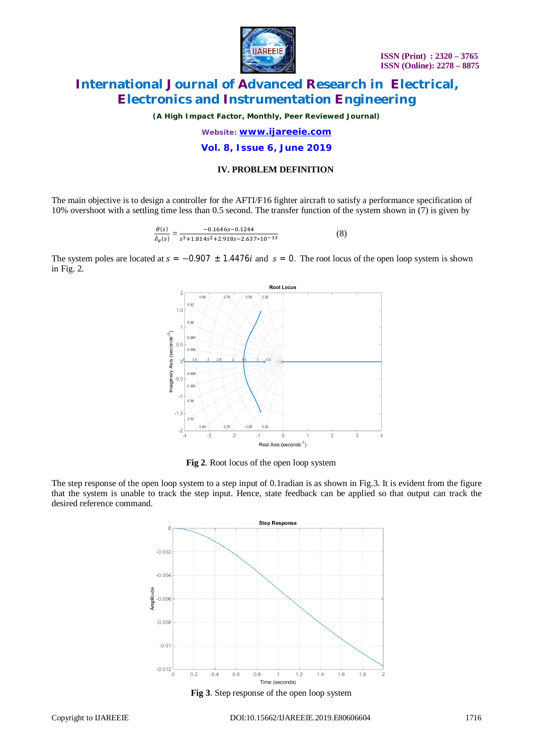

*(A High Impact Factor, Monthly, Peer Reviewed Journal)*

*Website: [www.ijareeie.com](http://www.ijareeie.com)*

**Vol. 8, Issue 6, June 2019**

### **IV. PROBLEM DEFINITION**

The main objective is to design a controller for the AFTI/F16 fighter aircraft to satisfy a performance specification of 10% overshoot with a settling time less than 0.5 second. The transfer function of the system shown in (7) is given by

$$
\frac{\theta(s)}{\delta_e(s)} = \frac{-0.1646s - 0.1244}{s^3 + 1.814s^2 + 2.918s - 2.637*10^{-13}}
$$
(8)

The system poles are located at  $s = -0.907 \pm 1.4476i$  and  $s = 0$ . The root locus of the open loop system is shown in Fig. 2.



**Fig 2**. Root locus of the open loop system

The step response of the open loop system to a step input of 0.1radian is as shown in Fig.3. It is evident from the figure that the system is unable to track the step input. Hence, state feedback can be applied so that output can track the desired reference command.

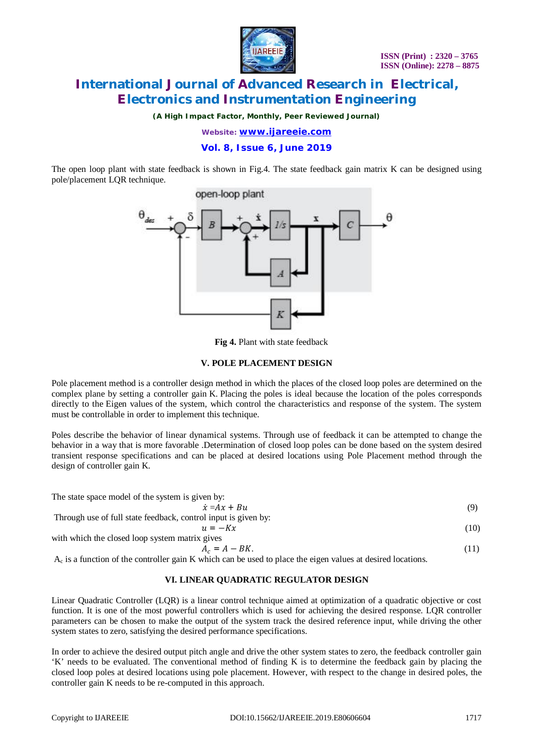

*(A High Impact Factor, Monthly, Peer Reviewed Journal)*

*Website: [www.ijareeie.com](http://www.ijareeie.com)*

**Vol. 8, Issue 6, June 2019**

The open loop plant with state feedback is shown in Fig.4. The state feedback gain matrix K can be designed using pole/placement LQR technique.



**Fig 4.** Plant with state feedback

### **V. POLE PLACEMENT DESIGN**

Pole placement method is a controller design method in which the places of the closed loop poles are determined on the complex plane by setting a controller gain K. Placing the poles is ideal because the location of the poles corresponds directly to the Eigen values of the system, which control the characteristics and response of the system. The system must be controllable in order to implement this technique.

Poles describe the behavior of linear dynamical systems. Through use of feedback it can be attempted to change the behavior in a way that is more favorable .Determination of closed loop poles can be done based on the system desired transient response specifications and can be placed at desired locations using Pole Placement method through the design of controller gain K.

| The state space model of the system is given by:               |      |
|----------------------------------------------------------------|------|
| $\dot{x} = Ax + Bu$                                            | (9)  |
| Through use of full state feedback, control input is given by: |      |
| $u = -Kx$                                                      | (10) |
| with which the closed loop system matrix gives                 |      |

$$
A_c = A - BK.
$$

 $A_c = A - BK.$  (11)  $A_c$  is a function of the controller gain K which can be used to place the eigen values at desired locations.

### **VI. LINEAR QUADRATIC REGULATOR DESIGN**

Linear Quadratic Controller (LQR) is a linear control technique aimed at optimization of a quadratic objective or cost function. It is one of the most powerful controllers which is used for achieving the desired response. LQR controller parameters can be chosen to make the output of the system track the desired reference input, while driving the other system states to zero, satisfying the desired performance specifications.

In order to achieve the desired output pitch angle and drive the other system states to zero, the feedback controller gain 'K' needs to be evaluated. The conventional method of finding K is to determine the feedback gain by placing the closed loop poles at desired locations using pole placement. However, with respect to the change in desired poles, the controller gain K needs to be re-computed in this approach.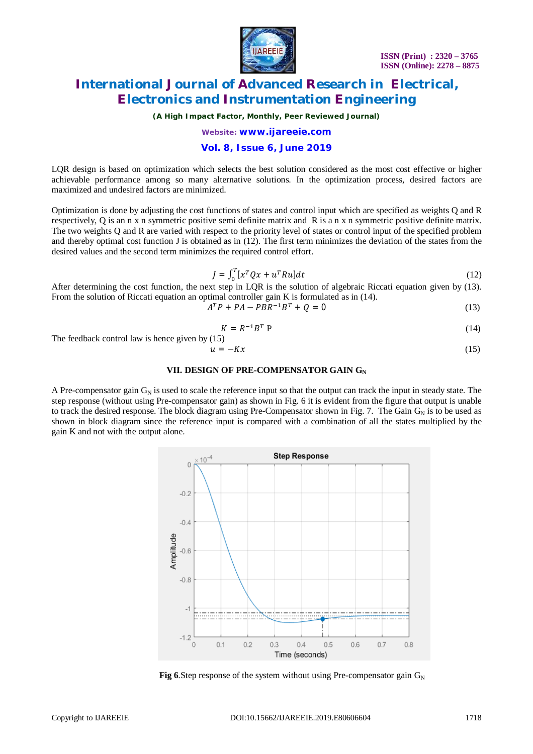

*(A High Impact Factor, Monthly, Peer Reviewed Journal)*

*Website: [www.ijareeie.com](http://www.ijareeie.com)*

### **Vol. 8, Issue 6, June 2019**

LQR design is based on optimization which selects the best solution considered as the most cost effective or higher achievable performance among so many alternative solutions. In the optimization process, desired factors are maximized and undesired factors are minimized.

Optimization is done by adjusting the cost functions of states and control input which are specified as weights Q and R respectively, Q is an n x n symmetric positive semi definite matrix and R is a n x n symmetric positive definite matrix. The two weights Q and R are varied with respect to the priority level of states or control input of the specified problem and thereby optimal cost function J is obtained as in (12). The first term minimizes the deviation of the states from the desired values and the second term minimizes the required control effort.

$$
J = \int_0^T [x^T Q x + u^T R u] dt \tag{12}
$$

After determining the cost function, the next step in LQR is the solution of algebraic Riccati equation given by (13). From the solution of Riccati equation an optimal controller gain K is formulated as in (14).

 $A^T P + P A - P B R^{-1} B^T + Q = 0$  (13)

$$
K = R^{-1}B^T P \tag{14}
$$

The feedback control law is hence given by (15)

$$
u = -Kx \tag{15}
$$

#### **VII. DESIGN OF PRE-COMPENSATOR GAIN G<sup>N</sup>**

A Pre-compensator gain  $G_N$  is used to scale the reference input so that the output can track the input in steady state. The step response (without using Pre-compensator gain) as shown in Fig. 6 it is evident from the figure that output is unable to track the desired response. The block diagram using Pre-Compensator shown in Fig. 7. The Gain  $G_N$  is to be used as shown in block diagram since the reference input is compared with a combination of all the states multiplied by the gain K and not with the output alone.



**Fig 6.**Step response of the system without using Pre-compensator gain  $G_N$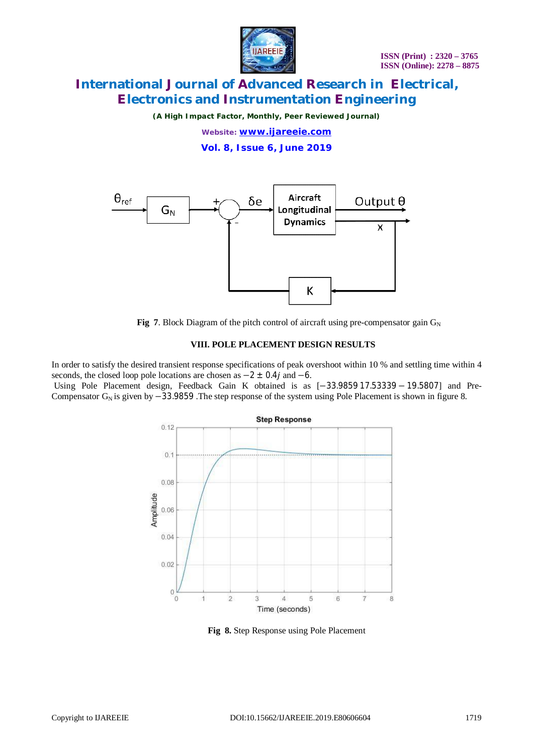

*(A High Impact Factor, Monthly, Peer Reviewed Journal)*

*Website: [www.ijareeie.com](http://www.ijareeie.com)*

**Vol. 8, Issue 6, June 2019**



**Fig 7.** Block Diagram of the pitch control of aircraft using pre-compensator gain  $G_N$ 

#### **VIII. POLE PLACEMENT DESIGN RESULTS**

In order to satisfy the desired transient response specifications of peak overshoot within 10 % and settling time within 4 seconds, the closed loop pole locations are chosen as  $-2 \pm 0.4j$  and  $-6$ .

Using Pole Placement design, Feedback Gain K obtained is as [−33.9859 17.53339 − 19.5807] and Pre-Compensator  $G_N$  is given by  $-33.9859$ . The step response of the system using Pole Placement is shown in figure 8.



**Fig 8.** Step Response using Pole Placement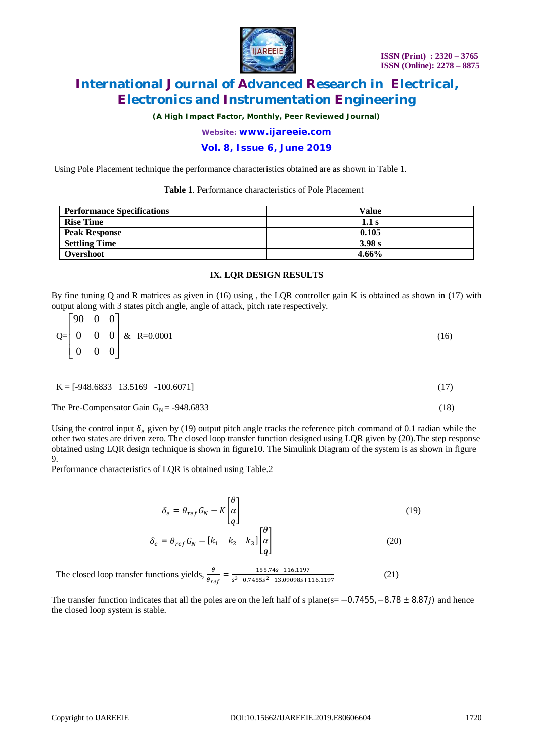

*(A High Impact Factor, Monthly, Peer Reviewed Journal)*

*Website: [www.ijareeie.com](http://www.ijareeie.com)*

### **Vol. 8, Issue 6, June 2019**

Using Pole Placement technique the performance characteristics obtained are as shown in Table 1.

#### **Table 1**. Performance characteristics of Pole Placement

| <b>Performance Specifications</b> | Value  |
|-----------------------------------|--------|
| <b>Rise Time</b>                  | 1.1s   |
| <b>Peak Response</b>              | 0.105  |
| <b>Settling Time</b>              | 3.98 s |
| Overshoot                         | 4.66%  |

#### **IX. LQR DESIGN RESULTS**

By fine tuning Q and R matrices as given in (16) using , the LQR controller gain K is obtained as shown in (17) with output along with 3 states pitch angle, angle of attack, pitch rate respectively.

| $\begin{bmatrix} 90 & 0 & 0 \end{bmatrix}$ |  |                                                          |      |
|--------------------------------------------|--|----------------------------------------------------------|------|
|                                            |  | $Q = \begin{bmatrix} 0 & 0 & 0 \end{bmatrix}$ & R=0.0001 | (16) |
| $\begin{vmatrix} 0 & 0 & 0 \end{vmatrix}$  |  |                                                          |      |

| $K = [-948.6833 \quad 13.5169 \quad -100.6071]$ |  |
|-------------------------------------------------|--|
|-------------------------------------------------|--|

The Pre-Compensator Gain  $G_N$  = -948.6833 (18)

Using the control input  $\delta_e$  given by (19) output pitch angle tracks the reference pitch command of 0.1 radian while the other two states are driven zero. The closed loop transfer function designed using LQR given by (20).The step response obtained using LQR design technique is shown in figure10. The Simulink Diagram of the system is as shown in figure 9.

Performance characteristics of LQR is obtained using Table.2

$$
\delta_e = \theta_{ref} G_N - K \begin{bmatrix} \theta \\ \alpha \\ q \end{bmatrix}
$$
\n
$$
\delta_e = \theta_{ref} G_N - [k_1 \quad k_2 \quad k_3] \begin{bmatrix} \theta \\ \alpha \\ q \end{bmatrix}
$$
\n(19)\n(20)

The closed loop transfer functions yields,  $\frac{\theta}{\theta_{ref}} = \frac{155.74s + 116.1197}{s^3 + 0.7455s^2 + 13.09098s + 13.0968s^2}$  $s^3$ +0.7455 $s^2$ +13.09098s+116.1197 (21)

The transfer function indicates that all the poles are on the left half of s plane(s=  $-0.7455, -8.78 \pm 8.87j$ ) and hence the closed loop system is stable.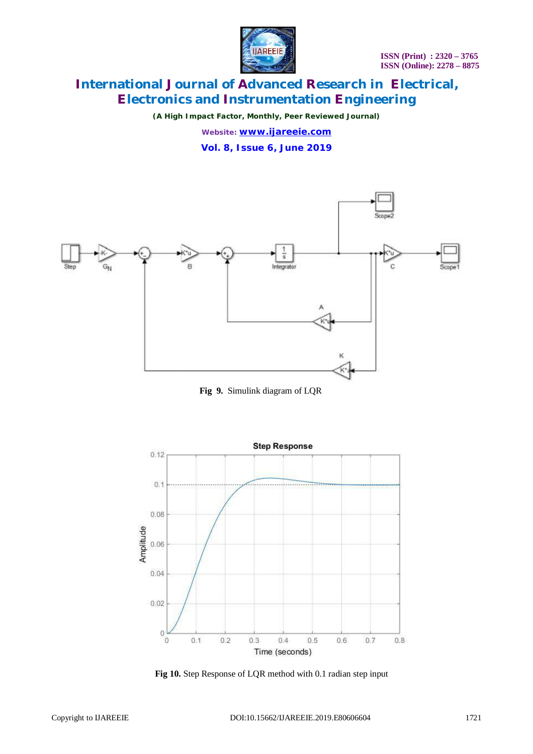

*(A High Impact Factor, Monthly, Peer Reviewed Journal)*

*Website: [www.ijareeie.com](http://www.ijareeie.com)*

**Vol. 8, Issue 6, June 2019**



 **Fig 9.** Simulink diagram of LQR



**Fig 10.** Step Response of LQR method with 0.1 radian step input